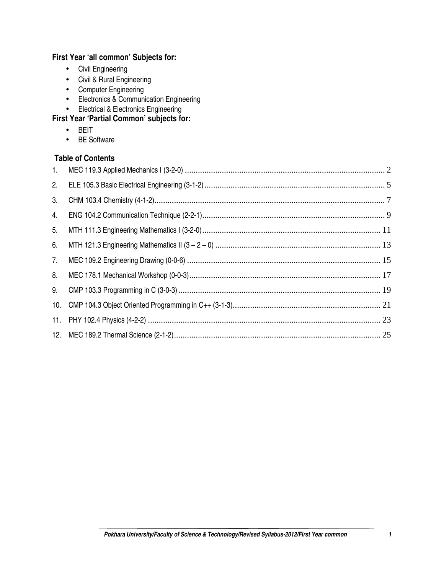# **First Year 'all common' Subjects for:**

- Civil Engineering
- Civil & Rural Engineering
- Computer Engineering
- Electronics & Communication Engineering
- Electrical & Electronics Engineering

# **First Year 'Partial Common' subjects for:**

- BEIT
- BE Software

# **Table of Contents**

| 1. |  |
|----|--|
| 2. |  |
| 3. |  |
| 4. |  |
| 5. |  |
| 6. |  |
| 7. |  |
| 8. |  |
| 9. |  |
|    |  |
|    |  |
|    |  |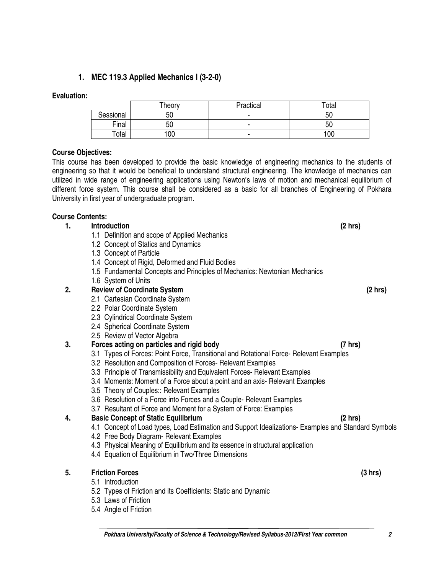# **1. MEC 119.3 Applied Mechanics I (3-2-0)**

# **Evaluation:**

# **Course Objectives:**

This course has been developed to provide the basic knowledge of engineering mechanics to the students of engineering so that it would be beneficial to understand structural engineering. The knowledge of mechanics can utilized in wide range of engineering applications using Newton's laws of motion and mechanical equilibrium of different force system. This course shall be considered as a basic for all branches of Engineering of Pokhara University in first year of undergraduate program.

Sessional | 50 - 50 - 50 <sup>-</sup> 50 Final | 50 | 50 | 50 Total | 100 | - 100 | 100

Theory Practical Total

# **Course Contents:**

- **1. Introduction (2 hrs)** 
	- 1.1 Definition and scope of Applied Mechanics
	- 1.2 Concept of Statics and Dynamics
	- 1.3 Concept of Particle
	- 1.4 Concept of Rigid, Deformed and Fluid Bodies
	- 1.5 Fundamental Concepts and Principles of Mechanics: Newtonian Mechanics
	- 1.6 System of Units

# **2. Review of Coordinate System (2 hrs)**

- 2.1 Cartesian Coordinate System
- 2.2 Polar Coordinate System
- 2.3 Cylindrical Coordinate System
- 2.4 Spherical Coordinate System
- 2.5 Review of Vector Algebra

# **3. Forces acting on particles and rigid body (7 hrs)**

- 3.1 Types of Forces: Point Force, Transitional and Rotational Force- Relevant Examples
- 3.2 Resolution and Composition of Forces- Relevant Examples
- 3.3 Principle of Transmissibility and Equivalent Forces- Relevant Examples
- 3.4 Moments: Moment of a Force about a point and an axis- Relevant Examples
- 3.5 Theory of Couples:: Relevant Examples
- 3.6 Resolution of a Force into Forces and a Couple- Relevant Examples
- 3.7 Resultant of Force and Moment for a System of Force: Examples

# **4. Basic Concept of Static Equilibrium (2 hrs)**

- 4.1 Concept of Load types, Load Estimation and Support Idealizations- Examples and Standard Symbols
- 4.2 Free Body Diagram- Relevant Examples
- 4.3 Physical Meaning of Equilibrium and its essence in structural application
- 4.4 Equation of Equilibrium in Two/Three Dimensions

# **5. Friction Forces (3 hrs)**

- 5.1 Introduction
- 5.2 Types of Friction and its Coefficients: Static and Dynamic
- 5.3 Laws of Friction
- 5.4 Angle of Friction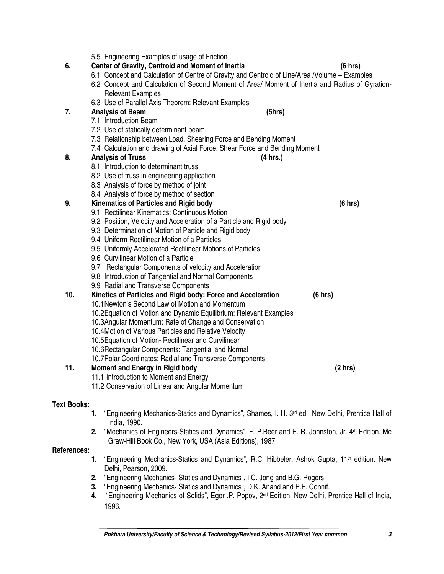|     | 5.5 Engineering Examples of usage of Friction                                                           |         |
|-----|---------------------------------------------------------------------------------------------------------|---------|
| 6.  | Center of Gravity, Centroid and Moment of Inertia                                                       | (6 hrs) |
|     | 6.1 Concept and Calculation of Centre of Gravity and Centroid of Line/Area /Volume - Examples           |         |
|     | 6.2 Concept and Calculation of Second Moment of Area/ Moment of Inertia and Radius of Gyration-         |         |
|     | <b>Relevant Examples</b>                                                                                |         |
|     | 6.3 Use of Parallel Axis Theorem: Relevant Examples                                                     |         |
| 7.  | (5hrs)<br><b>Analysis of Beam</b>                                                                       |         |
|     | 7.1 Introduction Beam                                                                                   |         |
|     | 7.2 Use of statically determinant beam                                                                  |         |
|     | 7.3 Relationship between Load, Shearing Force and Bending Moment                                        |         |
|     | 7.4 Calculation and drawing of Axial Force, Shear Force and Bending Moment                              |         |
| 8.  | <b>Analysis of Truss</b><br>(4 hrs.)                                                                    |         |
|     | 8.1 Introduction to determinant truss                                                                   |         |
|     | 8.2 Use of truss in engineering application                                                             |         |
|     | 8.3 Analysis of force by method of joint                                                                |         |
|     | 8.4 Analysis of force by method of section                                                              |         |
| 9.  | Kinematics of Particles and Rigid body                                                                  | (6 hrs) |
|     | 9.1 Rectilinear Kinematics: Continuous Motion                                                           |         |
|     | 9.2 Position, Velocity and Acceleration of a Particle and Rigid body                                    |         |
|     | 9.3 Determination of Motion of Particle and Rigid body<br>9.4 Uniform Rectilinear Motion of a Particles |         |
|     |                                                                                                         |         |
|     | 9.5 Uniformly Accelerated Rectilinear Motions of Particles<br>9.6 Curvilinear Motion of a Particle      |         |
|     | 9.7 Rectangular Components of velocity and Acceleration                                                 |         |
|     | 9.8 Introduction of Tangential and Normal Components                                                    |         |
|     | 9.9 Radial and Transverse Components                                                                    |         |
| 10. | Kinetics of Particles and Rigid body: Force and Acceleration                                            | (6 hrs) |
|     | 10.1 Newton's Second Law of Motion and Momentum                                                         |         |
|     | 10.2 Equation of Motion and Dynamic Equilibrium: Relevant Examples                                      |         |
|     | 10.3 Angular Momentum: Rate of Change and Conservation                                                  |         |
|     | 10.4 Motion of Various Particles and Relative Velocity                                                  |         |
|     | 10.5 Equation of Motion- Rectilinear and Curvilinear                                                    |         |
|     | 10.6 Rectangular Components: Tangential and Normal                                                      |         |
|     | 10.7 Polar Coordinates: Radial and Transverse Components                                                |         |
| 11. | <b>Moment and Energy in Rigid body</b>                                                                  | (2 hr)  |
|     | 11.1 Introduction to Moment and Energy                                                                  |         |
|     | 11.2 Conservation of Linear and Angular Momentum                                                        |         |

# **Text Books:**

- 1. "Engineering Mechanics-Statics and Dynamics", Shames, I. H. 3<sup>rd</sup> ed., New Delhi, Prentice Hall of India, 1990.
- **2.** "Mechanics of Engineers-Statics and Dynamics", F. P.Beer and E. R. Johnston, Jr. 4rh Edition, Mc Graw-Hill Book Co., New York, USA (Asia Editions), 1987.

## **References:**

- 1. "Engineering Mechanics-Statics and Dynamics", R.C. Hibbeler, Ashok Gupta, 11<sup>th</sup> edition. New Delhi, Pearson, 2009.
- **2.** "Engineering Mechanics- Statics and Dynamics", I.C. Jong and B.G. Rogers.
- **3.** "Engineering Mechanics- Statics and Dynamics", D.K. Anand and P.F. Connif.
- **4.** "Engineering Mechanics of Solids", Egor .P. Popov, 2nd Edition, New Delhi, Prentice Hall of India, 1996.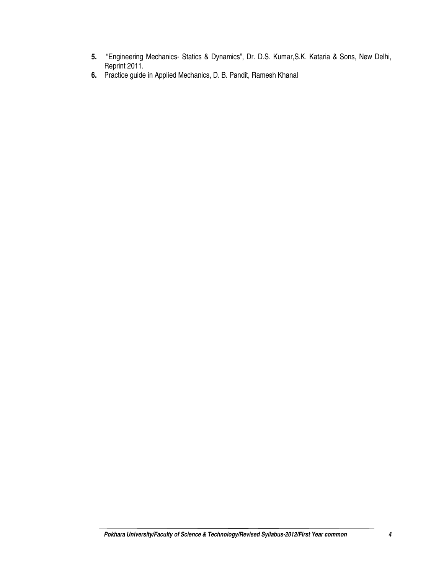- **5.** "Engineering Mechanics- Statics & Dynamics", Dr. D.S. Kumar,S.K. Kataria & Sons, New Delhi, Reprint 2011.
- **6.** Practice guide in Applied Mechanics, D. B. Pandit, Ramesh Khanal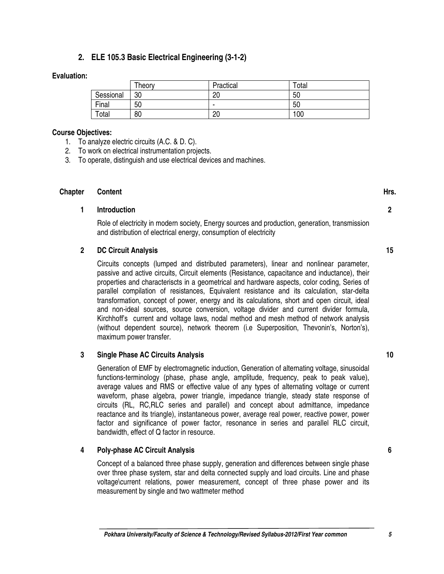# **2. ELE 105.3 Basic Electrical Engineering (3-1-2)**

#### **Evaluation:**

|           | Theory | Practical      | Total |
|-----------|--------|----------------|-------|
| Sessional | 30     | ∩<br>۷۵        | 50    |
| Final     | 50     | $\blacksquare$ | 50    |
| Total     | 80     | 20             | 100   |

#### **Course Objectives:**

- 1. To analyze electric circuits (A.C. & D. C).
- 2. To work on electrical instrumentation projects.
- 3. To operate, distinguish and use electrical devices and machines.

## **Chapter Content Hrs. Hrs.**

#### **1 Introduction**

Role of electricity in modern society, Energy sources and production, generation, transmission and distribution of electrical energy, consumption of electricity

#### **2 DC Circuit Analysis**

Circuits concepts (lumped and distributed parameters), linear and nonlinear parameter, passive and active circuits, Circuit elements (Resistance, capacitance and inductance), their properties and characteriscts in a geometrical and hardware aspects, color coding, Series of parallel compilation of resistances, Equivalent resistance and its calculation, star-delta transformation, concept of power, energy and its calculations, short and open circuit, ideal and non-ideal sources, source conversion, voltage divider and current divider formula, Kirchhoff's current and voltage laws, nodal method and mesh method of network analysis (without dependent source), network theorem (i.e Superposition, Thevonin's, Norton's), maximum power transfer.

#### **3 Single Phase AC Circuits Analysis**

Generation of EMF by electromagnetic induction, Generation of alternating voltage, sinusoidal functions-terminology (phase, phase angle, amplitude, frequency, peak to peak value), average values and RMS or effective value of any types of alternating voltage or current waveform, phase algebra, power triangle, impedance triangle, steady state response of circuits (RL, RC,RLC series and parallel) and concept about admittance, impedance reactance and its triangle), instantaneous power, average real power, reactive power, power factor and significance of power factor, resonance in series and parallel RLC circuit, bandwidth, effect of Q factor in resource.

#### **4 Poly-phase AC Circuit Analysis**

Concept of a balanced three phase supply, generation and differences between single phase over three phase system, star and delta connected supply and load circuits. Line and phase voltage\current relations, power measurement, concept of three phase power and its measurement by single and two wattmeter method

**Pokhara University/Faculty of Science & Technology/Revised Syllabus-2012/First Year common 5** 

**15** 

**2** 

**10**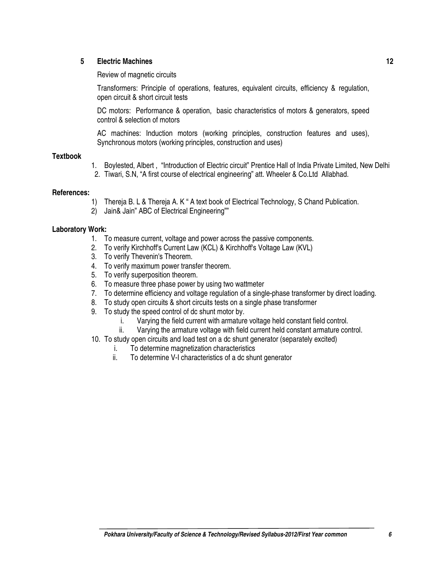#### **5 Electric Machines**

Review of magnetic circuits

Transformers: Principle of operations, features, equivalent circuits, efficiency & regulation, open circuit & short circuit tests

DC motors: Performance & operation, basic characteristics of motors & generators, speed control & selection of motors

AC machines: Induction motors (working principles, construction features and uses), Synchronous motors (working principles, construction and uses)

#### **Textbook**

- 1. Boylested, Albert , "Introduction of Electric circuit" Prentice Hall of India Private Limited, New Delhi
- 2. Tiwari, S.N, "A first course of electrical engineering" att. Wheeler & Co.Ltd Allabhad.

#### **References:**

- 1) Thereja B. L & Thereja A. K " A text book of Electrical Technology, S Chand Publication.
- 2) Jain& Jain" ABC of Electrical Engineering""

#### **Laboratory Work:**

- 1. To measure current, voltage and power across the passive components.
- 2. To verify Kirchhoff's Current Law (KCL) & Kirchhoff's Voltage Law (KVL)
- 3. To verify Thevenin's Theorem.
- 4. To verify maximum power transfer theorem.
- 5. To verify superposition theorem.
- 6. To measure three phase power by using two wattmeter
- 7. To determine efficiency and voltage regulation of a single-phase transformer by direct loading.
- 8. To study open circuits & short circuits tests on a single phase transformer
- 9. To study the speed control of dc shunt motor by.
	- i. Varying the field current with armature voltage held constant field control.
	- ii. Varying the armature voltage with field current held constant armature control.
- 10. To study open circuits and load test on a dc shunt generator (separately excited)
	- i. To determine magnetization characteristics
	- ii. To determine V-I characteristics of a dc shunt generator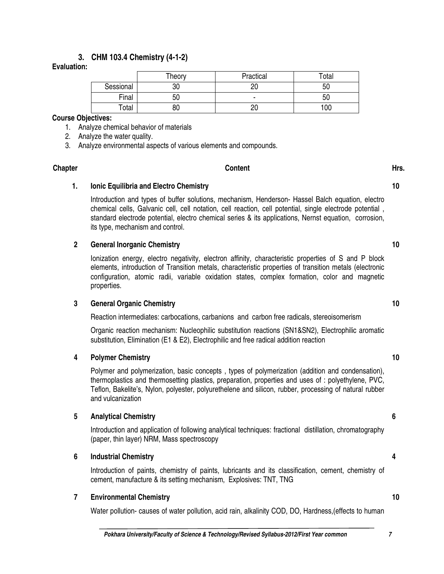# **3. CHM 103.4 Chemistry (4-1-2)**

## **Evaluation:**

|           | Theory | Practical | Total |
|-----------|--------|-----------|-------|
| Sessional | 30     | 20        | 50    |
| Final     | 50     |           | 50    |
| Total     | 80     | 20        | 100   |

#### **Course Objectives:**

- 1. Analyze chemical behavior of materials
- 2. Analyze the water quality.
- 3. Analyze environmental aspects of various elements and compounds.

# Chapter **Chapter Content Content Content Content Hrs.**

**1. Ionic Equilibria and Electro Chemistry** 

Introduction and types of buffer solutions, mechanism, Henderson- Hassel Balch equation, electro chemical cells, Galvanic cell, cell notation, cell reaction, cell potential, single electrode potential , standard electrode potential, electro chemical series & its applications, Nernst equation, corrosion, its type, mechanism and control.

## **2 General Inorganic Chemistry**

Ionization energy, electro negativity, electron affinity, characteristic properties of S and P block elements, introduction of Transition metals, characteristic properties of transition metals (electronic configuration, atomic radii, variable oxidation states, complex formation, color and magnetic properties.

#### **3 General Organic Chemistry**

Reaction intermediates: carbocations, carbanions and carbon free radicals, stereoisomerism

Organic reaction mechanism: Nucleophilic substitution reactions (SN1&SN2), Electrophilic aromatic substitution, Elimination (E1 & E2), Electrophilic and free radical addition reaction

#### **4 Polymer Chemistry**

Polymer and polymerization, basic concepts , types of polymerization (addition and condensation), thermoplastics and thermosetting plastics, preparation, properties and uses of : polyethylene, PVC, Teflon, Bakelite's, Nylon, polyester, polyurethelene and silicon, rubber, processing of natural rubber and vulcanization

#### **5 Analytical Chemistry**

Introduction and application of following analytical techniques: fractional distillation, chromatography (paper, thin layer) NRM, Mass spectroscopy

#### **6 Industrial Chemistry**

Introduction of paints, chemistry of paints, lubricants and its classification, cement, chemistry of cement, manufacture & its setting mechanism, Explosives: TNT, TNG

#### **7 Environmental Chemistry**

Water pollution- causes of water pollution, acid rain, alkalinity COD, DO, Hardness,(effects to human

**10** 

**10** 

**10** 

**10** 

**6** 

**4**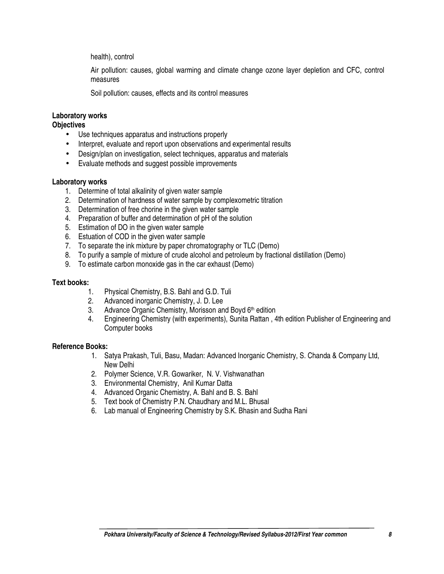health), control

Air pollution: causes, global warming and climate change ozone layer depletion and CFC, control measures

Soil pollution: causes, effects and its control measures

# **Laboratory works**

## **Objectives**

- Use techniques apparatus and instructions properly
- Interpret, evaluate and report upon observations and experimental results
- Design/plan on investigation, select techniques, apparatus and materials
- Evaluate methods and suggest possible improvements

#### **Laboratory works**

- 1. Determine of total alkalinity of given water sample
- 2. Determination of hardness of water sample by complexometric titration
- 3. Determination of free chorine in the given water sample
- 4. Preparation of buffer and determination of pH of the solution
- 5. Estimation of DO in the given water sample
- 6. Estuation of COD in the given water sample
- 7. To separate the ink mixture by paper chromatography or TLC (Demo)
- 8. To purify a sample of mixture of crude alcohol and petroleum by fractional distillation (Demo)
- 9. To estimate carbon monoxide gas in the car exhaust (Demo)

#### **Text books:**

- 1. Physical Chemistry, B.S. Bahl and G.D. Tuli
- 2. Advanced inorganic Chemistry, J. D. Lee
- 3. Advance Organic Chemistry, Morisson and Boyd 6<sup>th</sup> edition
- 4. Engineering Chemistry (with experiments), Sunita Rattan , 4th edition Publisher of Engineering and Computer books

- 1. Satya Prakash, Tuli, Basu, Madan: Advanced Inorganic Chemistry, S. Chanda & Company Ltd, New Delhi
- 2. Polymer Science, V.R. Gowariker, N. V. Vishwanathan
- 3. Environmental Chemistry, Anil Kumar Datta
- 4. Advanced Organic Chemistry, A. Bahl and B. S. Bahl
- 5. Text book of Chemistry P.N. Chaudhary and M.L. Bhusal
- 6. Lab manual of Engineering Chemistry by S.K. Bhasin and Sudha Rani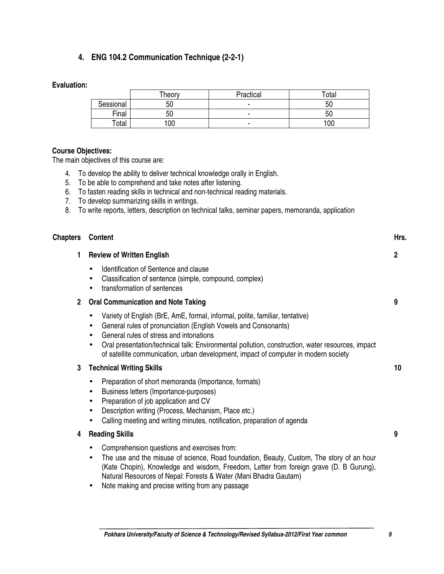# **4. ENG 104.2 Communication Technique (2-2-1)**

# **Evaluation:**

|           | Theory | Practical | $\tau$ otal |
|-----------|--------|-----------|-------------|
| Sessional | 50     |           | 50          |
| Final     | 50     |           | 50          |
| Total     | 00     |           | 100         |

## **Course Objectives:**

The main objectives of this course are:

- 4. To develop the ability to deliver technical knowledge orally in English.
- 5. To be able to comprehend and take notes after listening.
- 6. To fasten reading skills in technical and non-technical reading materials.
- 7. To develop summarizing skills in writings.
- 8. To write reports, letters, description on technical talks, seminar papers, memoranda, application

| <b>Chapters</b> | Content                                                                                                                                                                                                                                                                                                                                                                                                                     | Hrs. |
|-----------------|-----------------------------------------------------------------------------------------------------------------------------------------------------------------------------------------------------------------------------------------------------------------------------------------------------------------------------------------------------------------------------------------------------------------------------|------|
| 1.              | <b>Review of Written English</b>                                                                                                                                                                                                                                                                                                                                                                                            | 2    |
|                 | Identification of Sentence and clause<br>$\bullet$<br>Classification of sentence (simple, compound, complex)<br>$\bullet$<br>transformation of sentences<br>$\bullet$                                                                                                                                                                                                                                                       |      |
| $\overline{2}$  | <b>Oral Communication and Note Taking</b>                                                                                                                                                                                                                                                                                                                                                                                   | 9    |
|                 | Variety of English (BrE, AmE, formal, informal, polite, familiar, tentative)<br>General rules of pronunciation (English Vowels and Consonants)<br>$\bullet$<br>General rules of stress and intonations<br>$\bullet$<br>Oral presentation/technical talk: Environmental pollution, construction, water resources, impact<br>$\bullet$<br>of satellite communication, urban development, impact of computer in modern society |      |
| 3               | <b>Technical Writing Skills</b>                                                                                                                                                                                                                                                                                                                                                                                             | 10   |
|                 | Preparation of short memoranda (Importance, formats)<br>Business letters (Importance-purposes)<br>$\bullet$<br>Preparation of job application and CV<br>$\bullet$<br>Description writing (Process, Mechanism, Place etc.)<br>$\bullet$<br>Calling meeting and writing minutes, notification, preparation of agenda<br>$\bullet$                                                                                             |      |
| 4               | <b>Reading Skills</b>                                                                                                                                                                                                                                                                                                                                                                                                       | 9    |
|                 | Comprehension questions and exercises from:<br>٠<br>The use and the misuse of science, Road foundation, Beauty, Custom, The story of an hour<br>$\bullet$<br>(Kate Chopin), Knowledge and wisdom, Freedom, Letter from foreign grave (D. B Gurung),<br>Natural Resources of Nepal: Forests & Water (Mani Bhadra Gautam)                                                                                                     |      |

• Note making and precise writing from any passage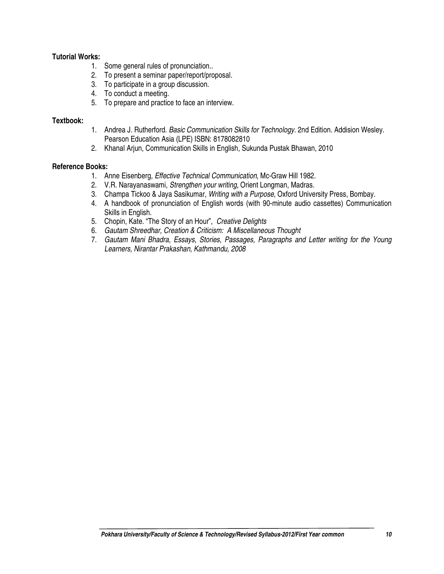## **Tutorial Works:**

- 1. Some general rules of pronunciation..
- 2. To present a seminar paper/report/proposal.
- 3. To participate in a group discussion.
- 4. To conduct a meeting.
- 5. To prepare and practice to face an interview.

#### **Textbook:**

- 1. Andrea J. Rutherford. Basic Communication Skills for Technology. 2nd Edition. Addision Wesley. Pearson Education Asia (LPE) ISBN: 8178082810
- 2. Khanal Arjun, Communication Skills in English, Sukunda Pustak Bhawan, 2010

- 1. Anne Eisenberg, Effective Technical Communication, Mc-Graw Hill 1982.
- 2. V.R. Narayanaswami, Strengthen your writing, Orient Longman, Madras.
- 3. Champa Tickoo & Jaya Sasikumar, Writing with a Purpose, Oxford University Press, Bombay.
- 4. A handbook of pronunciation of English words (with 90-minute audio cassettes) Communication Skills in English.
- 5. Chopin, Kate. "The Story of an Hour", Creative Delights
- 6. Gautam Shreedhar, Creation & Criticism: A Miscellaneous Thought
- 7. Gautam Mani Bhadra, Essays, Stories, Passages, Paragraphs and Letter writing for the Young Learners, Nirantar Prakashan, Kathmandu, 2008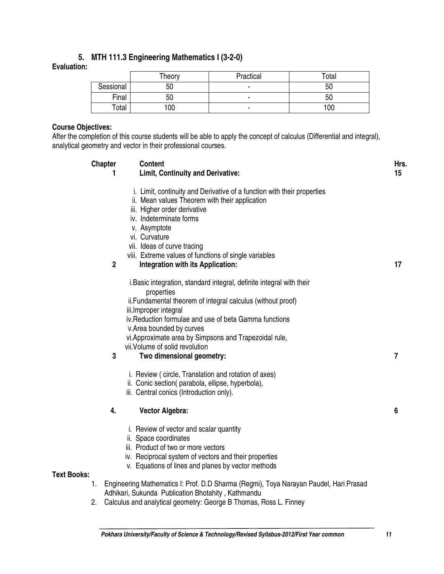# **5. MTH 111.3 Engineering Mathematics I (3-2-0)**

# **Evaluation:**

|           | Theory | Practical | Total |
|-----------|--------|-----------|-------|
| Sessional | 50     | ۰         | 50    |
| Final     | 50     | ۰         | 50    |
| Total     | 100    |           | 100   |

# **Course Objectives:**

After the completion of this course students will be able to apply the concept of calculus (Differential and integral), analytical geometry and vector in their professional courses.

|                    |    | <b>Chapter</b><br><b>Content</b><br><b>Limit, Continuity and Derivative:</b><br>1     | Hrs.<br>15 |
|--------------------|----|---------------------------------------------------------------------------------------|------------|
|                    |    | i. Limit, continuity and Derivative of a function with their properties               |            |
|                    |    | ii. Mean values Theorem with their application<br>iii. Higher order derivative        |            |
|                    |    | iv. Indeterminate forms                                                               |            |
|                    |    | v. Asymptote                                                                          |            |
|                    |    | vi. Curvature                                                                         |            |
|                    |    | vii. Ideas of curve tracing                                                           |            |
|                    |    | viii. Extreme values of functions of single variables                                 |            |
|                    |    | $\overline{2}$<br>Integration with its Application:                                   | 17         |
|                    |    | i. Basic integration, standard integral, definite integral with their                 |            |
|                    |    | properties                                                                            |            |
|                    |    | ii. Fundamental theorem of integral calculus (without proof)<br>iii.Improper integral |            |
|                    |    | iv. Reduction formulae and use of beta Gamma functions                                |            |
|                    |    | v. Area bounded by curves                                                             |            |
|                    |    | vi. Approximate area by Simpsons and Trapezoidal rule,                                |            |
|                    |    | vii. Volume of solid revolution                                                       |            |
|                    |    | 3<br>Two dimensional geometry:                                                        | 7          |
|                    |    | i. Review (circle, Translation and rotation of axes)                                  |            |
|                    |    | ii. Conic section(parabola, ellipse, hyperbola),                                      |            |
|                    |    | iii. Central conics (Introduction only).                                              |            |
|                    |    | 4.<br><b>Vector Algebra:</b>                                                          | 6          |
|                    |    | i. Review of vector and scalar quantity                                               |            |
|                    |    | ii. Space coordinates                                                                 |            |
|                    |    | iii. Product of two or more vectors                                                   |            |
|                    |    | iv. Reciprocal system of vectors and their properties                                 |            |
|                    |    | v. Equations of lines and planes by vector methods                                    |            |
| <b>Text Books:</b> | 1. | Engineering Mathematics I: Prof. D.D Sharma (Regmi), Toya Narayan Paudel, Hari Prasad |            |
|                    |    | Adhikari, Sukunda Publication Bhotahity, Kathmandu                                    |            |
|                    | 2. | Calculus and analytical geometry: George B Thomas, Ross L. Finney                     |            |
|                    |    |                                                                                       |            |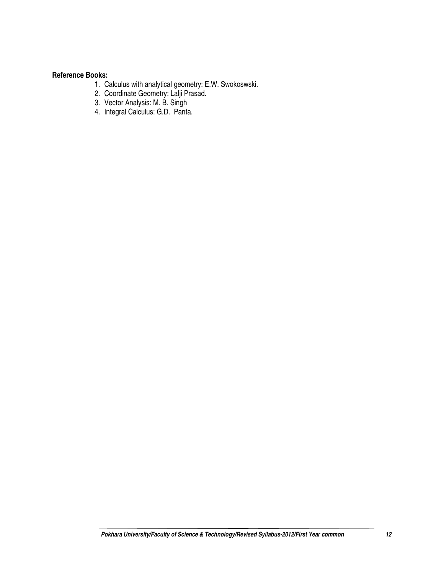- 1. Calculus with analytical geometry: E.W. Swokoswski.
- 2. Coordinate Geometry: Lalji Prasad.
- 3. Vector Analysis: M. B. Singh
- 4. Integral Calculus: G.D. Panta.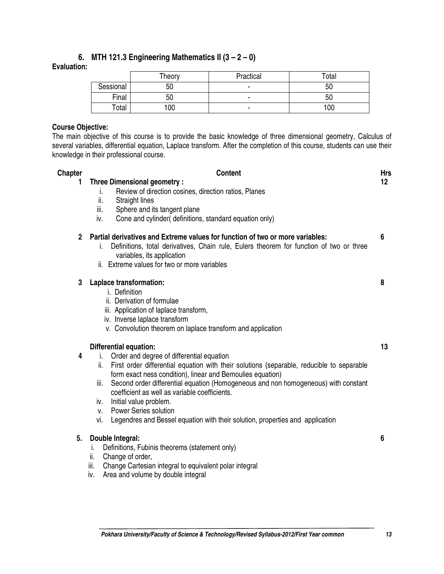# **6. MTH 121.3 Engineering Mathematics II (3 – 2 – 0)**

# **Evaluation:**

|           | Theory | Practical | Total |
|-----------|--------|-----------|-------|
| Sessional | 50     | -         | 50    |
| Final     | 50     |           | 50    |
| Total     | 100    |           | 100   |

# **Course Objective:**

The main objective of this course is to provide the basic knowledge of three dimensional geometry, Calculus of several variables, differential equation, Laplace transform. After the completion of this course, students can use their knowledge in their professional course.

| <b>Chapter</b> | <b>Content</b>                                                                                                                                                                                                                                                                                                                                                                                                                                                                                                                                                    | <b>Hrs</b>      |
|----------------|-------------------------------------------------------------------------------------------------------------------------------------------------------------------------------------------------------------------------------------------------------------------------------------------------------------------------------------------------------------------------------------------------------------------------------------------------------------------------------------------------------------------------------------------------------------------|-----------------|
| 1              | <b>Three Dimensional geometry:</b><br>Review of direction cosines, direction ratios, Planes<br>i.<br>ii.<br><b>Straight lines</b>                                                                                                                                                                                                                                                                                                                                                                                                                                 | 12 <sub>2</sub> |
|                | iii.<br>Sphere and its tangent plane<br>Cone and cylinder(definitions, standard equation only)<br>iv.                                                                                                                                                                                                                                                                                                                                                                                                                                                             |                 |
| $\mathbf{2}$   | Partial derivatives and Extreme values for function of two or more variables:<br>Definitions, total derivatives, Chain rule, Eulers theorem for function of two or three<br>i.<br>variables, its application<br>ii. Extreme values for two or more variables                                                                                                                                                                                                                                                                                                      | 6               |
| 3              | Laplace transformation:<br>i. Definition<br>ii. Derivation of formulae<br>iii. Application of laplace transform,<br>iv. Inverse laplace transform<br>v. Convolution theorem on laplace transform and application                                                                                                                                                                                                                                                                                                                                                  | 8               |
| 4              | <b>Differential equation:</b><br>Order and degree of differential equation<br>i.<br>ii.<br>First order differential equation with their solutions (separable, reducible to separable<br>form exact ness condition), linear and Bernoulies equation)<br>Second order differential equation (Homogeneous and non homogeneous) with constant<br>iii.<br>coefficient as well as variable coefficients.<br>Initial value problem.<br>iv.<br><b>Power Series solution</b><br>V.<br>Legendres and Bessel equation with their solution, properties and application<br>vi. | 13              |
| 5.             | Double Integral:<br>Definitions, Fubinis theorems (statement only)<br>i.<br>ii.<br>Change of order,<br>Change Cartesian integral to equivalent polar integral<br>iii.<br>Area and volume by double integral<br>iv.                                                                                                                                                                                                                                                                                                                                                | 6               |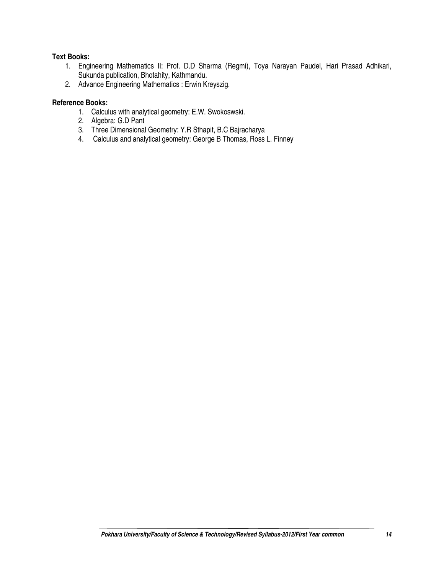# **Text Books:**

- 1. Engineering Mathematics II: Prof. D.D Sharma (Regmi), Toya Narayan Paudel, Hari Prasad Adhikari, Sukunda publication, Bhotahity, Kathmandu.
- 2. Advance Engineering Mathematics : Erwin Kreyszig.

- 1. Calculus with analytical geometry: E.W. Swokoswski.
- 2. Algebra: G.D Pant
- 3. Three Dimensional Geometry: Y.R Sthapit, B.C Bajracharya
- 4. Calculus and analytical geometry: George B Thomas, Ross L. Finney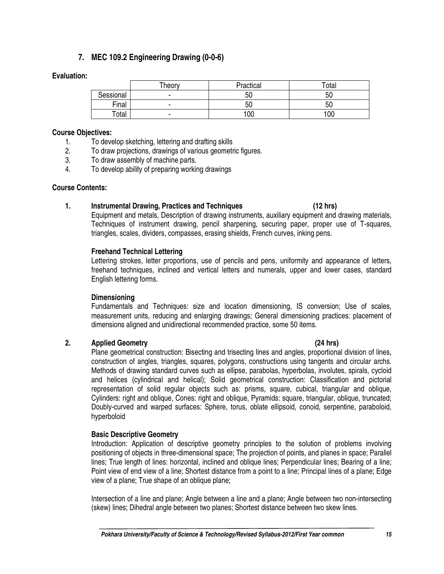# **7. MEC 109.2 Engineering Drawing (0-0-6)**

## **Evaluation:**

|           | Theory | Practical | Total |
|-----------|--------|-----------|-------|
| Sessional |        | 50        | 50    |
| Final     |        | 50        | 50    |
| Total     |        | 100       | 100   |

#### **Course Objectives:**

- 1. To develop sketching, lettering and drafting skills
- 2. To draw projections, drawings of various geometric figures.
- 3. To draw assembly of machine parts.
- 4. To develop ability of preparing working drawings

## **Course Contents:**

# **1. Instrumental Drawing, Practices and Techniques (12 hrs)**

Equipment and metals, Description of drawing instruments, auxiliary equipment and drawing materials, Techniques of instrument drawing, pencil sharpening, securing paper, proper use of T-squares, triangles, scales, dividers, compasses, erasing shields, French curves, inking pens.

# **Freehand Technical Lettering**

Lettering strokes, letter proportions, use of pencils and pens, uniformity and appearance of letters, freehand techniques, inclined and vertical letters and numerals, upper and lower cases, standard English lettering forms.

# **Dimensioning**

Fundamentals and Techniques: size and location dimensioning, IS conversion; Use of scales, measurement units, reducing and enlarging drawings; General dimensioning practices: placement of dimensions aligned and unidirectional recommended practice, some 50 items.

# **2. Applied Geometry (24 hrs)**

## Plane geometrical construction: Bisecting and trisecting lines and angles, proportional division of lines, construction of angles, triangles, squares, polygons, constructions using tangents and circular archs. Methods of drawing standard curves such as ellipse, parabolas, hyperbolas, involutes, spirals, cycloid and helices (cylindrical and helical); Solid geometrical construction: Classification and pictorial representation of solid regular objects such as: prisms, square, cubical, triangular and oblique, Cylinders: right and oblique, Cones: right and oblique, Pyramids: square, triangular, oblique, truncated; Doubly-curved and warped surfaces: Sphere, torus, oblate ellipsoid, conoid, serpentine, paraboloid, hyperboloid

# **Basic Descriptive Geometry**

Introduction: Application of descriptive geometry principles to the solution of problems involving positioning of objects in three-dimensional space; The projection of points, and planes in space; Parallel lines; True length of lines: horizontal, inclined and oblique lines; Perpendicular lines; Bearing of a line; Point view of end view of a line; Shortest distance from a point to a line; Principal lines of a plane; Edge view of a plane; True shape of an oblique plane;

Intersection of a line and plane; Angle between a line and a plane; Angle between two non-intersecting (skew) lines; Dihedral angle between two planes; Shortest distance between two skew lines.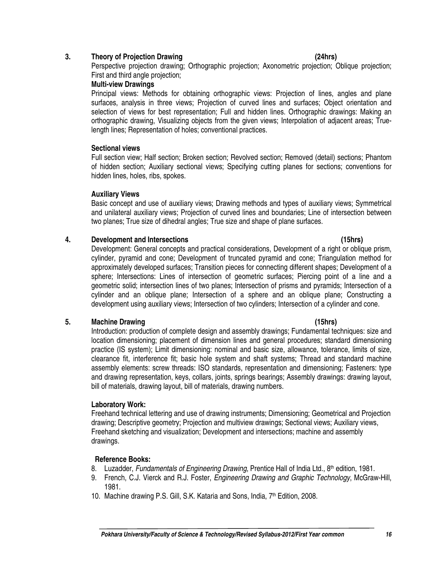## **3. Theory of Projection Drawing (24hrs)**

Perspective projection drawing; Orthographic projection; Axonometric projection; Oblique projection; First and third angle projection;

## **Multi-view Drawings**

Principal views: Methods for obtaining orthographic views: Projection of lines, angles and plane surfaces, analysis in three views; Projection of curved lines and surfaces; Object orientation and selection of views for best representation; Full and hidden lines. Orthographic drawings: Making an orthographic drawing, Visualizing objects from the given views; Interpolation of adjacent areas; Truelength lines; Representation of holes; conventional practices.

## **Sectional views**

Full section view; Half section; Broken section; Revolved section; Removed (detail) sections; Phantom of hidden section; Auxiliary sectional views; Specifying cutting planes for sections; conventions for hidden lines, holes, ribs, spokes.

## **Auxiliary Views**

Basic concept and use of auxiliary views; Drawing methods and types of auxiliary views; Symmetrical and unilateral auxiliary views; Projection of curved lines and boundaries; Line of intersection between two planes; True size of dihedral angles; True size and shape of plane surfaces.

## **4. Development and Intersections (15hrs)**

Development: General concepts and practical considerations, Development of a right or oblique prism, cylinder, pyramid and cone; Development of truncated pyramid and cone; Triangulation method for approximately developed surfaces; Transition pieces for connecting different shapes; Development of a sphere; Intersections: Lines of intersection of geometric surfaces; Piercing point of a line and a geometric solid; intersection lines of two planes; Intersection of prisms and pyramids; Intersection of a cylinder and an oblique plane; Intersection of a sphere and an oblique plane; Constructing a development using auxiliary views; Intersection of two cylinders; Intersection of a cylinder and cone.

# **5. Machine Drawing (15hrs)**

Introduction: production of complete design and assembly drawings; Fundamental techniques: size and location dimensioning; placement of dimension lines and general procedures; standard dimensioning practice (IS system); Limit dimensioning: nominal and basic size, allowance, tolerance, limits of size, clearance fit, interference fit; basic hole system and shaft systems; Thread and standard machine assembly elements: screw threads: ISO standards, representation and dimensioning; Fasteners: type and drawing representation, keys, collars, joints, springs bearings; Assembly drawings: drawing layout, bill of materials, drawing layout, bill of materials, drawing numbers.

# **Laboratory Work:**

Freehand technical lettering and use of drawing instruments; Dimensioning; Geometrical and Projection drawing; Descriptive geometry; Projection and multiview drawings; Sectional views; Auxiliary views, Freehand sketching and visualization; Development and intersections; machine and assembly drawings.

- 8. Luzadder, Fundamentals of Engineering Drawing, Prentice Hall of India Ltd., 8<sup>th</sup> edition, 1981.
- 9. French, C.J. Vierck and R.J. Foster, *Engineering Drawing and Graphic Technology*, McGraw-Hill, 1981.
- 10. Machine drawing P.S. Gill, S.K. Kataria and Sons, India, 7<sup>th</sup> Edition, 2008.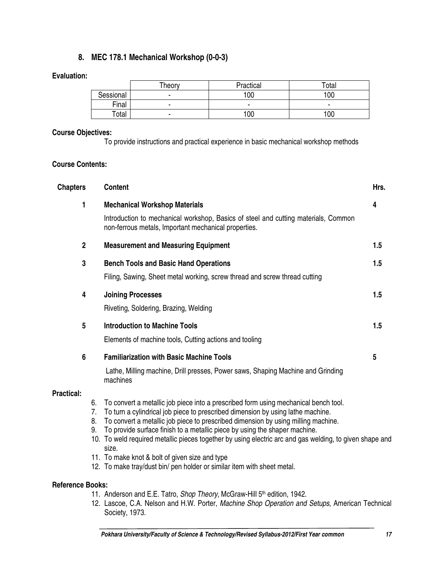# **8. MEC 178.1 Mechanical Workshop (0-0-3)**

## **Evaluation:**

|             | Theory | Practical | Total |
|-------------|--------|-----------|-------|
| Sessional   |        | 100       | 100   |
| Final       |        |           | -     |
| $\tau$ otal |        | 100       | 00    |

# **Course Objectives:**

To provide instructions and practical experience in basic mechanical workshop methods

# **Course Contents:**

| <b>Chapters</b>                                                                                                  |                                                | <b>Content</b>                                                                                                                                                         | Hrs. |
|------------------------------------------------------------------------------------------------------------------|------------------------------------------------|------------------------------------------------------------------------------------------------------------------------------------------------------------------------|------|
| 1                                                                                                                |                                                | <b>Mechanical Workshop Materials</b>                                                                                                                                   |      |
|                                                                                                                  |                                                | Introduction to mechanical workshop, Basics of steel and cutting materials, Common<br>non-ferrous metals, Important mechanical properties.                             |      |
| $\overline{2}$                                                                                                   |                                                | <b>Measurement and Measuring Equipment</b>                                                                                                                             | 1.5  |
| 3                                                                                                                |                                                | <b>Bench Tools and Basic Hand Operations</b>                                                                                                                           | 1.5  |
|                                                                                                                  |                                                | Filing, Sawing, Sheet metal working, screw thread and screw thread cutting                                                                                             |      |
| 4                                                                                                                |                                                | <b>Joining Processes</b>                                                                                                                                               | 1.5  |
|                                                                                                                  |                                                | Riveting, Soldering, Brazing, Welding                                                                                                                                  |      |
| 5                                                                                                                |                                                | <b>Introduction to Machine Tools</b>                                                                                                                                   | 1.5  |
|                                                                                                                  |                                                | Elements of machine tools, Cutting actions and tooling                                                                                                                 |      |
| 6                                                                                                                |                                                | <b>Familiarization with Basic Machine Tools</b>                                                                                                                        | 5    |
|                                                                                                                  |                                                | Lathe, Milling machine, Drill presses, Power saws, Shaping Machine and Grinding<br>machines                                                                            |      |
| <b>Practical:</b>                                                                                                |                                                |                                                                                                                                                                        |      |
| 6.<br>7.                                                                                                         |                                                | To convert a metallic job piece into a prescribed form using mechanical bench tool.<br>To turn a cylindrical job piece to prescribed dimension by using lathe machine. |      |
| 8.                                                                                                               |                                                | To convert a metallic job piece to prescribed dimension by using milling machine.                                                                                      |      |
|                                                                                                                  | 9.                                             | To provide surface finish to a metallic piece by using the shaper machine.                                                                                             |      |
| 10. To weld required metallic pieces together by using electric arc and gas welding, to given shape and<br>size. |                                                |                                                                                                                                                                        |      |
|                                                                                                                  | 11. To make knot & bolt of given size and type |                                                                                                                                                                        |      |
| 12. To make tray/dust bin/ pen holder or similar item with sheet metal.                                          |                                                |                                                                                                                                                                        |      |
| <b>Reference Books:</b>                                                                                          |                                                |                                                                                                                                                                        |      |

# 11. Anderson and E.E. Tatro, Shop Theory, McGraw-Hill 5<sup>th</sup> edition, 1942.

12. Lascoe, C.A. Nelson and H.W. Porter, Machine Shop Operation and Setups, American Technical Society, 1973.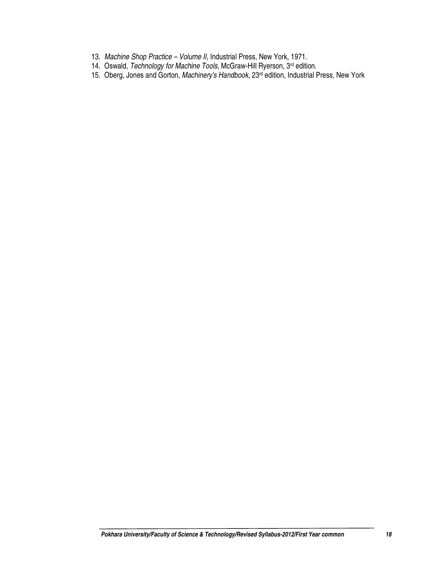- 13. Machine Shop Practice Volume II, Industrial Press, New York, 1971.
- 14. Oswald, Technology for Machine Tools, McGraw-Hill Ryerson, 3<sup>rd</sup> edition.
- 15. Oberg, Jones and Gorton, Machinery's Handbook, 23rd edition, Industrial Press, New York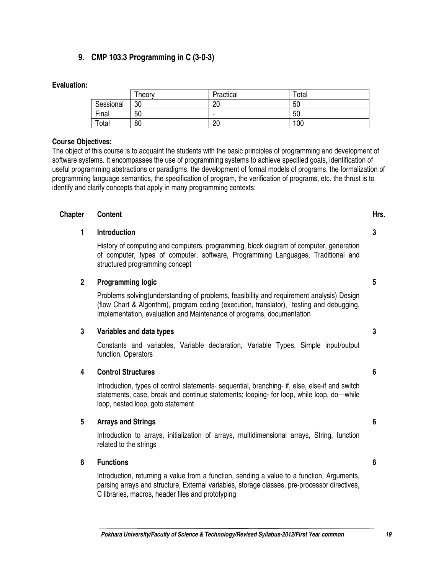# **9. CMP 103.3 Programming in C (3-0-3)**

## **Evaluation:**

|           | Theory | Practical | Total |
|-----------|--------|-----------|-------|
| Sessional | 30     | 20        | 50    |
| Final     | 50     |           | 50    |
| Total     | 80     | 20        | 100   |

#### **Course Objectives:**

The object of this course is to acquaint the students with the basic principles of programming and development of software systems. It encompasses the use of programming systems to achieve specified goals, identification of useful programming abstractions or paradigms, the development of formal models of programs, the formalization of programming language semantics, the specification of program, the verification of programs, etc. the thrust is to identify and clarify concepts that apply in many programming contexts:

## **Chapter Content Hrs. Hrs.**

## **1 Introduction**

History of computing and computers, programming, block diagram of computer, generation of computer, types of computer, software, Programming Languages, Traditional and structured programming concept

## **2 Programming logic**

Problems solving(understanding of problems, feasibility and requirement analysis) Design (flow Chart & Algorithm), program coding (execution, translator), testing and debugging, Implementation, evaluation and Maintenance of programs, documentation

#### **3 Variables and data types**

Constants and variables, Variable declaration, Variable Types, Simple input/output function, Operators

#### **4 Control Structures**

Introduction, types of control statements- sequential, branching- if, else, else-if and switch statements, case, break and continue statements; looping- for loop, while loop, do—while loop, nested loop, goto statement

# **5 Arrays and Strings**

Introduction to arrays, initialization of arrays, multidimensional arrays, String, function related to the strings

# **6 Functions**

Introduction, returning a value from a function, sending a value to a function, Arguments, parsing arrays and structure, External variables, storage classes, pre-processor directives, C libraries, macros, header files and prototyping

**3** 

**3** 

**5** 

**6** 

**6**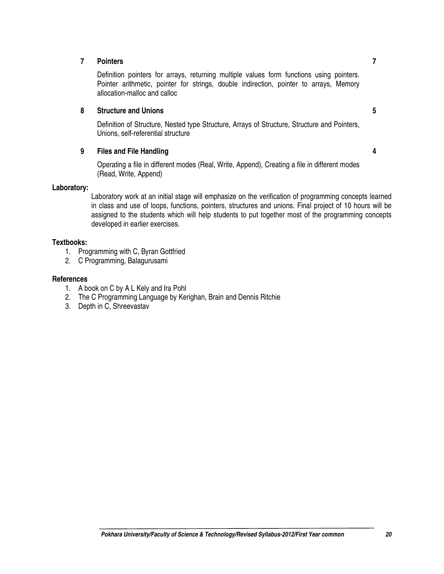## **7 Pointers**

Definition pointers for arrays, returning multiple values form functions using pointers. Pointer arithmetic, pointer for strings, double indirection, pointer to arrays, Memory allocation-malloc and calloc

#### **8 Structure and Unions**

Definition of Structure, Nested type Structure, Arrays of Structure, Structure and Pointers, Unions, self-referential structure

## **9 Files and File Handling**

**4** 

**5** 

**7** 

Operating a file in different modes (Real, Write, Append), Creating a file in different modes (Read, Write, Append)

#### **Laboratory:**

Laboratory work at an initial stage will emphasize on the verification of programming concepts learned in class and use of loops, functions, pointers, structures and unions. Final project of 10 hours will be assigned to the students which will help students to put together most of the programming concepts developed in earlier exercises.

## **Textbooks:**

- 1. Programming with C, Byran Gottfried
- 2. C Programming, Balagurusami

## **References**

- 1. A book on C by A L Kely and Ira Pohl
- 2. The C Programming Language by Kerighan, Brain and Dennis Ritchie
- 3. Depth in C, Shreevastav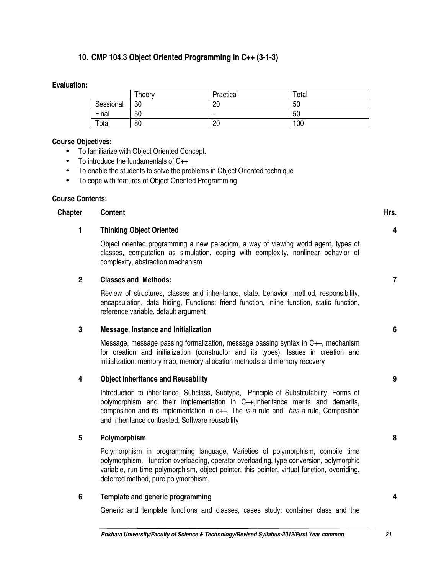# **10. CMP 104.3 Object Oriented Programming in C++ (3-1-3)**

#### **Evaluation:**

|           | Theory | Practical | Total |
|-----------|--------|-----------|-------|
| Sessional | 30     | 20        | 50    |
| Final     | 50     | -         | 50    |
| Total     | 80     | 20        | 100   |

#### **Course Objectives:**

- To familiarize with Object Oriented Concept.
- To introduce the fundamentals of C++
- To enable the students to solve the problems in Object Oriented technique
- To cope with features of Object Oriented Programming

#### **Course Contents:**

## **Chapter Content Content Content Content Content Content Content Content Content Content Content Content Content**

**1 Thinking Object Oriented** 

Object oriented programming a new paradigm, a way of viewing world agent, types of classes, computation as simulation, coping with complexity, nonlinear behavior of complexity, abstraction mechanism

## **2 Classes and Methods:**

Review of structures, classes and inheritance, state, behavior, method, responsibility, encapsulation, data hiding, Functions: friend function, inline function, static function, reference variable, default argument

#### **3 Message, Instance and Initialization**

Message, message passing formalization, message passing syntax in C++, mechanism for creation and initialization (constructor and its types), Issues in creation and initialization: memory map, memory allocation methods and memory recovery

#### **4 Object Inheritance and Reusability**

Introduction to inheritance, Subclass, Subtype, Principle of Substitutability; Forms of polymorphism and their implementation in C++,inheritance merits and demerits, composition and its implementation in c++, The is-a rule and has-a rule, Composition and Inheritance contrasted, Software reusability

#### **5 Polymorphism**

Polymorphism in programming language, Varieties of polymorphism, compile time polymorphism, function overloading, operator overloading, type conversion, polymorphic variable, run time polymorphism, object pointer, this pointer, virtual function, overriding, deferred method, pure polymorphism.

#### **6 Template and generic programming**

Generic and template functions and classes, cases study: container class and the

**9** 

**4** 

**7** 

**6** 

**8**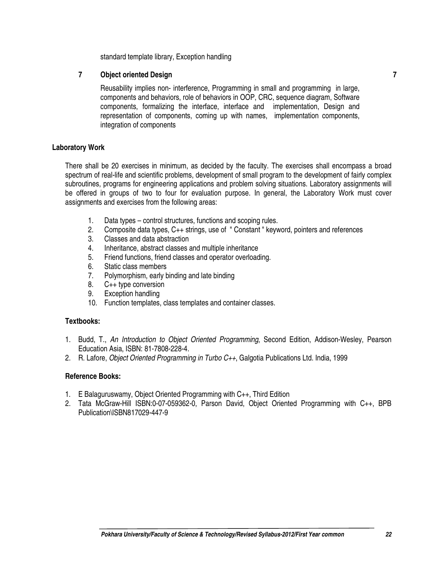standard template library, Exception handling

# **7 Object oriented Design**

Reusability implies non- interference, Programming in small and programming in large, components and behaviors, role of behaviors in OOP, CRC, sequence diagram, Software components, formalizing the interface, interface and implementation, Design and representation of components, coming up with names, implementation components, integration of components

# **Laboratory Work**

There shall be 20 exercises in minimum, as decided by the faculty. The exercises shall encompass a broad spectrum of real-life and scientific problems, development of small program to the development of fairly complex subroutines, programs for engineering applications and problem solving situations. Laboratory assignments will be offered in groups of two to four for evaluation purpose. In general, the Laboratory Work must cover assignments and exercises from the following areas:

- 1. Data types control structures, functions and scoping rules.
- 2. Composite data types, C++ strings, use of " Constant " keyword, pointers and references
- 3. Classes and data abstraction
- 4. Inheritance, abstract classes and multiple inheritance
- 5. Friend functions, friend classes and operator overloading.
- 6. Static class members
- 7. Polymorphism, early binding and late binding
- 8. C++ type conversion
- 9. Exception handling
- 10. Function templates, class templates and container classes.

#### **Textbooks:**

- 1. Budd, T., An Introduction to Object Oriented Programming, Second Edition, Addison-Wesley, Pearson Education Asia, ISBN: 81-7808-228-4.
- 2. R. Lafore, Object Oriented Programming in Turbo C++, Galgotia Publications Ltd. India, 1999

- 1. E Balaguruswamy, Object Oriented Programming with C++, Third Edition
- 2. Tata McGraw-Hill ISBN:0-07-059362-0, Parson David, Object Oriented Programming with C++, BPB Publication\ISBN817029-447-9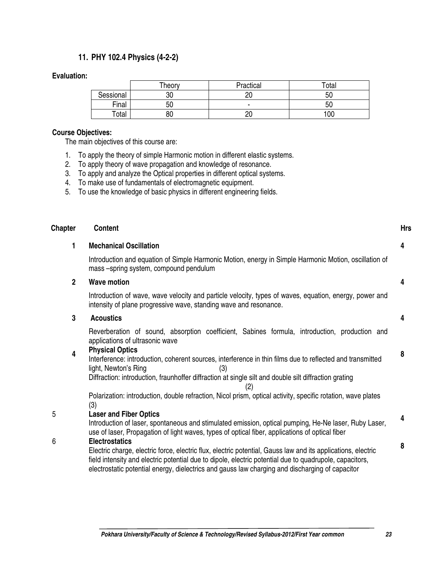# **11. PHY 102.4 Physics (4-2-2)**

#### **Evaluation:**

|           | Theory   | Practical | Total |
|-----------|----------|-----------|-------|
| Sessional | o٢<br>U۲ | nr        | 50    |
| Final     | 50       | -         | 50    |
| Total     | 80       | nr<br>∠∪  | 100   |

## **Course Objectives:**

The main objectives of this course are:

- 1. To apply the theory of simple Harmonic motion in different elastic systems.
- 2. To apply theory of wave propagation and knowledge of resonance.
- 3. To apply and analyze the Optical properties in different optical systems.
- 4. To make use of fundamentals of electromagnetic equipment.
- 5. To use the knowledge of basic physics in different engineering fields.

| <b>Chapter</b> | <b>Content</b>                                                                                                                                                                                                                                                                                                                                      | <b>Hrs</b> |
|----------------|-----------------------------------------------------------------------------------------------------------------------------------------------------------------------------------------------------------------------------------------------------------------------------------------------------------------------------------------------------|------------|
| 1              | <b>Mechanical Oscillation</b>                                                                                                                                                                                                                                                                                                                       | 4          |
|                | Introduction and equation of Simple Harmonic Motion, energy in Simple Harmonic Motion, oscillation of<br>mass-spring system, compound pendulum                                                                                                                                                                                                      |            |
| $\overline{2}$ | <b>Wave motion</b>                                                                                                                                                                                                                                                                                                                                  | 4          |
|                | Introduction of wave, wave velocity and particle velocity, types of waves, equation, energy, power and<br>intensity of plane progressive wave, standing wave and resonance.                                                                                                                                                                         |            |
| 3              | <b>Acoustics</b>                                                                                                                                                                                                                                                                                                                                    | 4          |
|                | Reverberation of sound, absorption coefficient, Sabines formula, introduction, production and<br>applications of ultrasonic wave                                                                                                                                                                                                                    |            |
| 4              | <b>Physical Optics</b><br>Interference: introduction, coherent sources, interference in thin films due to reflected and transmitted<br>light, Newton's Ring<br>(3)<br>Diffraction: introduction, fraunhoffer diffraction at single silt and double silt diffraction grating<br>(2)                                                                  | 8          |
|                | Polarization: introduction, double refraction, Nicol prism, optical activity, specific rotation, wave plates<br>(3)                                                                                                                                                                                                                                 |            |
| 5              | <b>Laser and Fiber Optics</b><br>Introduction of laser, spontaneous and stimulated emission, optical pumping, He-Ne laser, Ruby Laser,<br>use of laser, Propagation of light waves, types of optical fiber, applications of optical fiber                                                                                                           | 4          |
| 6              | <b>Electrostatics</b><br>Electric charge, electric force, electric flux, electric potential, Gauss law and its applications, electric<br>field intensity and electric potential due to dipole, electric potential due to quadrupole, capacitors,<br>electrostatic potential energy, dielectrics and gauss law charging and discharging of capacitor | 8          |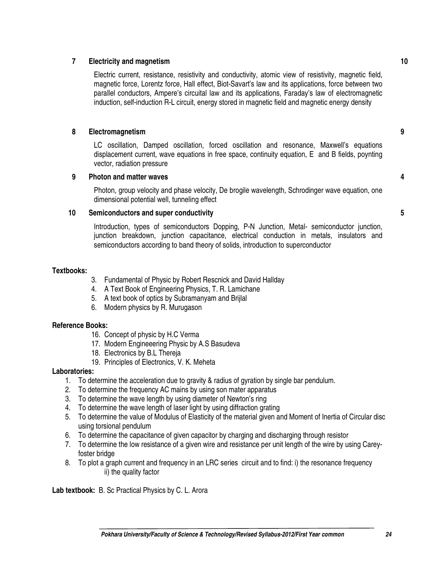# **7 Electricity and magnetism**

Electric current, resistance, resistivity and conductivity, atomic view of resistivity, magnetic field, magnetic force, Lorentz force, Hall effect, Biot-Savart's law and its applications, force between two parallel conductors, Ampere's circuital law and its applications, Faraday's law of electromagnetic induction, self-induction R-L circuit, energy stored in magnetic field and magnetic energy density

## **8 Electromagnetism**

LC oscillation, Damped oscillation, forced oscillation and resonance, Maxwell's equations displacement current, wave equations in free space, continuity equation, E and B fields, poynting vector, radiation pressure

#### **9 Photon and matter waves**

Photon, group velocity and phase velocity, De brogile wavelength, Schrodinger wave equation, one dimensional potential well, tunneling effect

## **10 Semiconductors and super conductivity**

Introduction, types of semiconductors Dopping, P-N Junction, Metal- semiconductor junction, junction breakdown, junction capacitance, electrical conduction in metals, insulators and semiconductors according to band theory of solids, introduction to superconductor

## **Textbooks:**

- 3. Fundamental of Physic by Robert Rescnick and David Hallday
- 4. A Text Book of Engineering Physics, T. R. Lamichane
- 5. A text book of optics by Subramanyam and Brijlal
- 6. Modern physics by R. Murugason

#### **Reference Books:**

- 16. Concept of physic by H.C Verma
- 17. Modern Engineeering Physic by A.S Basudeva
- 18. Electronics by B.L Thereja
- 19. Principles of Electronics, V. K. Meheta

#### **Laboratories:**

- 1. To determine the acceleration due to gravity & radius of gyration by single bar pendulum.
- 2. To determine the frequency AC mains by using son mater apparatus
- 3. To determine the wave length by using diameter of Newton's ring
- 4. To determine the wave length of laser light by using diffraction grating
- 5. To determine the value of Modulus of Elasticity of the material given and Moment of Inertia of Circular disc using torsional pendulum
- 6. To determine the capacitance of given capacitor by charging and discharging through resistor
- 7. To determine the low resistance of a given wire and resistance per unit length of the wire by using Careyfoster bridge
- 8. To plot a graph current and frequency in an LRC series circuit and to find: i) the resonance frequency ii) the quality factor

**Lab textbook:** B. Sc Practical Physics by C. L. Arora

**10** 

**9** 

**4**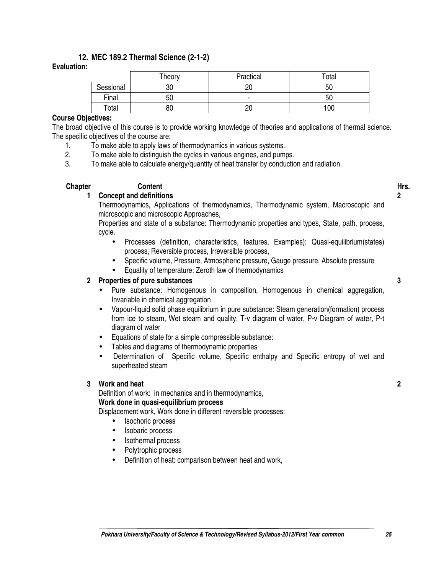# **12. MEC 189.2 Thermal Science (2-1-2)**

## **Evaluation:**

|           | Theory | Practical | Total |
|-----------|--------|-----------|-------|
| Sessional | 30     | 20        | 50    |
| Final     | 50     |           | 50    |
| Total     | 80     | 20        | 100   |

## **Course Objectives:**

The broad objective of this course is to provide working knowledge of theories and applications of thermal science. The specific objectives of the course are:

- 1. To make able to apply laws of thermodynamics in various systems.
- 2. To make able to distinguish the cycles in various engines, and pumps.
- 3. To make able to calculate energy/quantity of heat transfer by conduction and radiation.

## **Chapter Content Hrs.**

#### **1 Concept and definitions**

Thermodynamics, Applications of thermodynamics, Thermodynamic system, Macroscopic and microscopic and microscopic Approaches,

Properties and state of a substance: Thermodynamic properties and types, State, path, process, cycle.

- Processes (definition, characteristics, features, Examples): Quasi-equilibrium(states) process, Reversible process, Irreversible process,
- Specific volume, Pressure, Atmospheric pressure, Gauge pressure, Absolute pressure
- Equality of temperature: Zeroth law of thermodynamics

## **2 Properties of pure substances**

- Pure substance: Homogenous in composition, Homogenous in chemical aggregation, Invariable in chemical aggregation
- Vapour-liquid solid phase equilibrium in pure substance: Steam generation(formation) process from ice to steam, Wet steam and quality, T-v diagram of water, P-v Diagram of water, P-t diagram of water
- Equations of state for a simple compressible substance:
- Tables and diagrams of thermodynamic properties
- Determination of Specific volume, Specific enthalpy and Specific entropy of wet and superheated steam

#### **3 Work and heat**

Definition of work: in mechanics and in thermodynamics, **Work done in quasi-equilibrium process** 

Displacement work, Work done in different reversible processes:

- Isochoric process
- Isobaric process
- Isothermal process
- Polytrophic process
- Definition of heat: comparison between heat and work,

**3**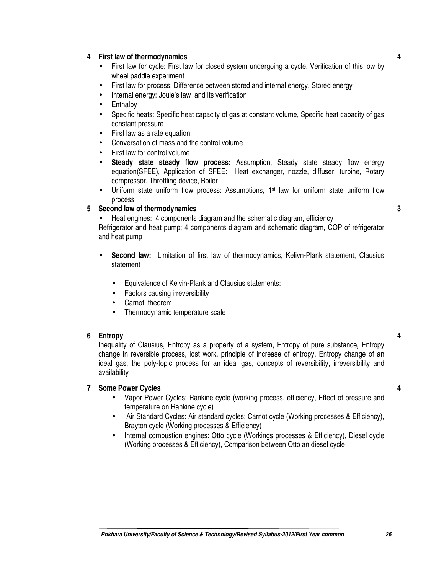#### **Pokhara University/Faculty of Science & Technology/Revised Syllabus-2012/First Year common 26**

**3**

**4**

**4**

- **4 First law of thermodynamics**
	- First law for cycle: First law for closed system undergoing a cycle, Verification of this low by wheel paddle experiment
	- First law for process: Difference between stored and internal energy, Stored energy
	- Internal energy: Joule's law and its verification
	- **Enthalpy**
	- Specific heats: Specific heat capacity of gas at constant volume, Specific heat capacity of gas constant pressure
	- First law as a rate equation:
	- Conversation of mass and the control volume
	- First law for control volume
	- **Steady state steady flow process:** Assumption, Steady state steady flow energy equation(SFEE), Application of SFEE: Heat exchanger, nozzle, diffuser, turbine, Rotary compressor, Throttling device, Boiler
	- Uniform state uniform flow process: Assumptions,  $1<sup>st</sup>$  law for uniform state uniform flow process

# **5 Second law of thermodynamics**

• Heat engines: 4 components diagram and the schematic diagram, efficiency

Refrigerator and heat pump: 4 components diagram and schematic diagram, COP of refrigerator and heat pump

- **Second law:** Limitation of first law of thermodynamics, Kelivn-Plank statement, Clausius statement
	- Equivalence of Kelvin-Plank and Clausius statements:
	- Factors causing irreversibility
	- Carnot theorem
	- Thermodynamic temperature scale

# **6 Entropy**

Inequality of Clausius, Entropy as a property of a system, Entropy of pure substance, Entropy change in reversible process, lost work, principle of increase of entropy, Entropy change of an ideal gas, the poly-topic process for an ideal gas, concepts of reversibility, irreversibility and availability

# **7 Some Power Cycles**

- Vapor Power Cycles: Rankine cycle (working process, efficiency, Effect of pressure and temperature on Rankine cycle)
- Air Standard Cycles: Air standard cycles: Carnot cycle (Working processes & Efficiency), Brayton cycle (Working processes & Efficiency)
- Internal combustion engines: Otto cycle (Workings processes & Efficiency), Diesel cycle (Working processes & Efficiency), Comparison between Otto an diesel cycle